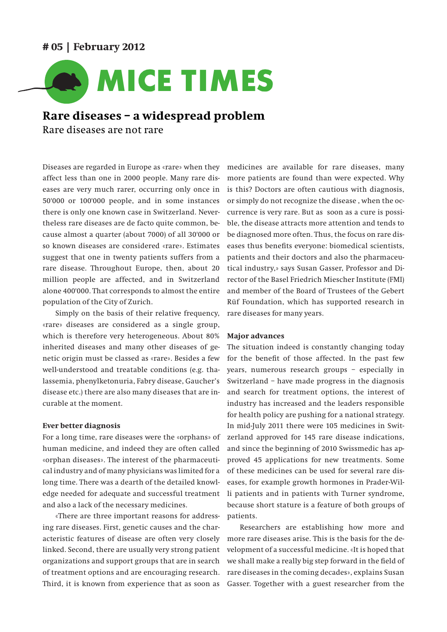## **# 05 | February 2012**



# **Rare diseases – a widespread problem** Rare diseases are not rare

Diseases are regarded in Europe as «rare» when they affect less than one in 2000 people. Many rare diseases are very much rarer, occurring only once in 50'000 or 100'000 people, and in some instances there is only one known case in Switzerland. Nevertheless rare diseases are de facto quite common, because almost a quarter (about 7000) of all 30'000 or so known diseases are considered «rare». Estimates suggest that one in twenty patients suffers from a rare disease. Throughout Europe, then, about 20 million people are affected, and in Switzerland alone 400'000. That corresponds to almost the entire population of the City of Zurich.

Simply on the basis of their relative frequency, «rare» diseases are considered as a single group, which is therefore very heterogeneous. About 80% inherited diseases and many other diseases of genetic origin must be classed as «rare». Besides a few well-understood and treatable conditions (e.g. thalassemia, phenylketonuria, Fabry disease, Gaucher's disease etc.) there are also many diseases that are incurable at the moment.

### **Ever better diagnosis**

For a long time, rare diseases were the «orphans» of human medicine, and indeed they are often called «orphan diseases». The interest of the pharmaceutical industry and of many physicians was limited for a long time. There was a dearth of the detailed knowledge needed for adequate and successful treatment and also a lack of the necessary medicines.

«There are three important reasons for addressing rare diseases. First, genetic causes and the characteristic features of disease are often very closely linked. Second, there are usually very strong patient organizations and support groups that are in search of treatment options and are encouraging research. Third, it is known from experience that as soon as medicines are available for rare diseases, many more patients are found than were expected. Why is this? Doctors are often cautious with diagnosis, or simply do not recognize the disease , when the occurrence is very rare. But as soon as a cure is possible, the disease attracts more attention and tends to be diagnosed more often. Thus, the focus on rare diseases thus benefits everyone: biomedical scientists, patients and their doctors and also the pharmaceutical industry,» says Susan Gasser, Professor and Director of the Basel Friedrich Miescher Institute (FMI) and member of the Board of Trustees of the Gebert Rüf Foundation, which has supported research in rare diseases for many years.

### **Major advances**

The situation indeed is constantly changing today for the benefit of those affected. In the past few years, numerous research groups – especially in Switzerland – have made progress in the diagnosis and search for treatment options, the interest of industry has increased and the leaders responsible for health policy are pushing for a national strategy. In mid-July 2011 there were 105 medicines in Switzerland approved for 145 rare disease indications, and since the beginning of 2010 Swissmedic has approved 45 applications for new treatments. Some of these medicines can be used for several rare diseases, for example growth hormones in Prader-Willi patients and in patients with Turner syndrome, because short stature is a feature of both groups of patients.

Researchers are establishing how more and more rare diseases arise. This is the basis for the development of a successful medicine. «It is hoped that we shall make a really big step forward in the field of rare diseases in the coming decades», explains Susan Gasser. Together with a guest researcher from the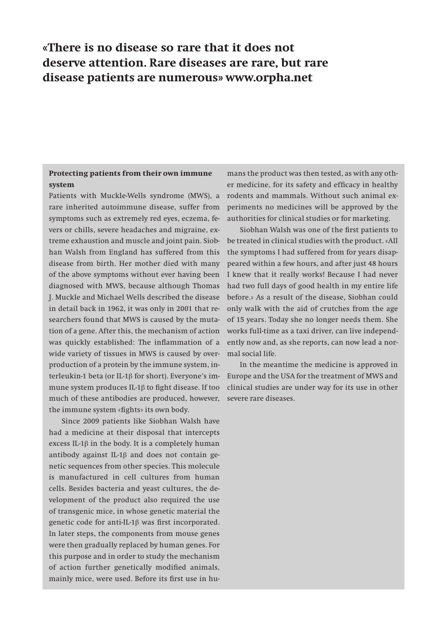# **«There is no disease so rare that it does not deserve attention. Rare diseases are rare, but rare disease patients are numerous» www.orpha.net**

## **Protecting patients from their own immune system**

Patients with Muckle-Wells syndrome (MWS), a rare inherited autoimmune disease, suffer from symptoms such as extremely red eyes, eczema, fevers or chills, severe headaches and migraine, extreme exhaustion and muscle and joint pain. Siobhan Walsh from England has suffered from this disease from birth. Her mother died with many of the above symptoms without ever having been diagnosed with MWS, because although Thomas J. Muckle and Michael Wells described the disease in detail back in 1962, it was only in 2001 that researchers found that MWS is caused by the mutation of a gene. After this, the mechanism of action was quickly established: The inflammation of a wide variety of tissues in MWS is caused by overproduction of a protein by the immune system, interleukin-1 beta (or IL-1β for short). Everyone's immune system produces IL-1β to fight disease. If too much of these antibodies are produced, however, the immune system «fights» its own body.

Since 2009 patients like Siobhan Walsh have had a medicine at their disposal that intercepts excess IL-1 $\beta$  in the body. It is a completely human antibody against IL-1β and does not contain genetic sequences from other species. This molecule is manufactured in cell cultures from human cells. Besides bacteria and yeast cultures, the development of the product also required the use of transgenic mice, in whose genetic material the genetic code for anti-IL-1β was first incorporated. In later steps, the components from mouse genes were then gradually replaced by human genes. For this purpose and in order to study the mechanism of action further genetically modified animals, mainly mice, were used. Before its first use in humans the product was then tested, as with any other medicine, for its safety and efficacy in healthy rodents and mammals. Without such animal experiments no medicines will be approved by the authorities for clinical studies or for marketing.

Siobhan Walsh was one of the first patients to be treated in clinical studies with the product. «All the symptoms I had suffered from for years disappeared within a few hours, and after just 48 hours I knew that it really works! Because I had never had two full days of good health in my entire life before.» As a result of the disease, Siobhan could only walk with the aid of crutches from the age of 15 years. Today she no longer needs them. She works full-time as a taxi driver, can live independently now and, as she reports, can now lead a normal social life.

In the meantime the medicine is approved in Europe and the USA for the treatment of MWS and clinical studies are under way for its use in other severe rare diseases.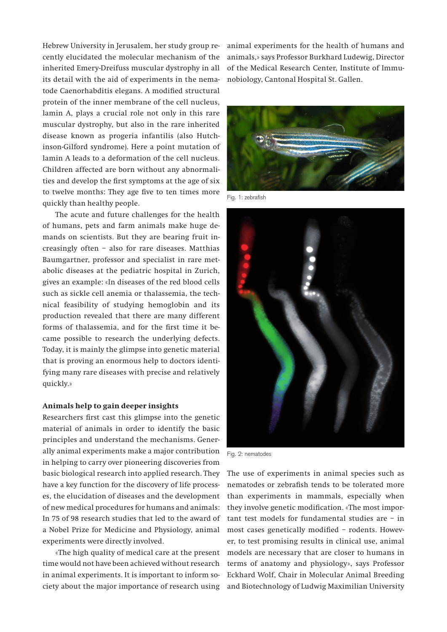Hebrew University in Jerusalem, her study group recently elucidated the molecular mechanism of the inherited Emery-Dreifuss muscular dystrophy in all its detail with the aid of experiments in the nematode Caenorhabditis elegans. A modified structural protein of the inner membrane of the cell nucleus, lamin A, plays a crucial role not only in this rare muscular dystrophy, but also in the rare inherited disease known as progeria infantilis (also Hutchinson-Gilford syndrome). Here a point mutation of lamin A leads to a deformation of the cell nucleus. Children affected are born without any abnormalities and develop the first symptoms at the age of six to twelve months: They age five to ten times more quickly than healthy people.

The acute and future challenges for the health of humans, pets and farm animals make huge demands on scientists. But they are bearing fruit increasingly often – also for rare diseases. Matthias Baumgartner, professor and specialist in rare metabolic diseases at the pediatric hospital in Zurich, gives an example: «In diseases of the red blood cells such as sickle cell anemia or thalassemia, the technical feasibility of studying hemoglobin and its production revealed that there are many different forms of thalassemia, and for the first time it became possible to research the underlying defects. Today, it is mainly the glimpse into genetic material that is proving an enormous help to doctors identifying many rare diseases with precise and relatively quickly.»

### **Animals help to gain deeper insights**

Researchers first cast this glimpse into the genetic material of animals in order to identify the basic principles and understand the mechanisms. Generally animal experiments make a major contribution in helping to carry over pioneering discoveries from basic biological research into applied research. They have a key function for the discovery of life processes, the elucidation of diseases and the development of new medical procedures for humans and animals: In 75 of 98 research studies that led to the award of a Nobel Prize for Medicine and Physiology, animal experiments were directly involved.

«The high quality of medical care at the present time would not have been achieved without research in animal experiments. It is important to inform society about the major importance of research using

animal experiments for the health of humans and animals,» says Professor Burkhard Ludewig, Director of the Medical Research Center, Institute of Immunobiology, Cantonal Hospital St. Gallen.



Fig. 1: zebrafish



Fig. 2: nematodes

The use of experiments in animal species such as nematodes or zebrafish tends to be tolerated more than experiments in mammals, especially when they involve genetic modification. «The most important test models for fundamental studies are – in most cases genetically modified – rodents. However, to test promising results in clinical use, animal models are necessary that are closer to humans in terms of anatomy and physiology», says Professor Eckhard Wolf, Chair in Molecular Animal Breeding and Biotechnology of Ludwig Maximilian University